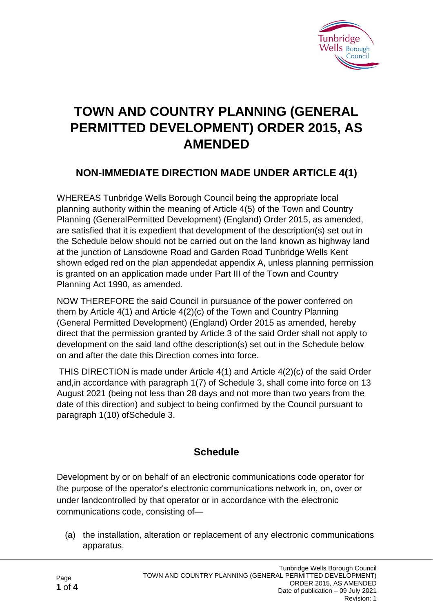

# **TOWN AND COUNTRY PLANNING (GENERAL PERMITTED DEVELOPMENT) ORDER 2015, AS AMENDED**

### **NON-IMMEDIATE DIRECTION MADE UNDER ARTICLE 4(1)**

WHEREAS Tunbridge Wells Borough Council being the appropriate local planning authority within the meaning of Article 4(5) of the Town and Country Planning (GeneralPermitted Development) (England) Order 2015, as amended, are satisfied that it is expedient that development of the description(s) set out in the Schedule below should not be carried out on the land known as highway land at the junction of Lansdowne Road and Garden Road Tunbridge Wells Kent shown edged red on the plan appendedat appendix A, unless planning permission is granted on an application made under Part III of the Town and Country Planning Act 1990, as amended.

NOW THEREFORE the said Council in pursuance of the power conferred on them by Article 4(1) and Article 4(2)(c) of the Town and Country Planning (General Permitted Development) (England) Order 2015 as amended, hereby direct that the permission granted by Article 3 of the said Order shall not apply to development on the said land ofthe description(s) set out in the Schedule below on and after the date this Direction comes into force.

THIS DIRECTION is made under Article 4(1) and Article 4(2)(c) of the said Order and,in accordance with paragraph 1(7) of Schedule 3, shall come into force on 13 August 2021 (being not less than 28 days and not more than two years from the date of this direction) and subject to being confirmed by the Council pursuant to paragraph 1(10) ofSchedule 3.

### **Schedule**

Development by or on behalf of an electronic communications code operator for the purpose of the operator's electronic communications network in, on, over or under landcontrolled by that operator or in accordance with the electronic communications code, consisting of—

(a) the installation, alteration or replacement of any electronic communications apparatus,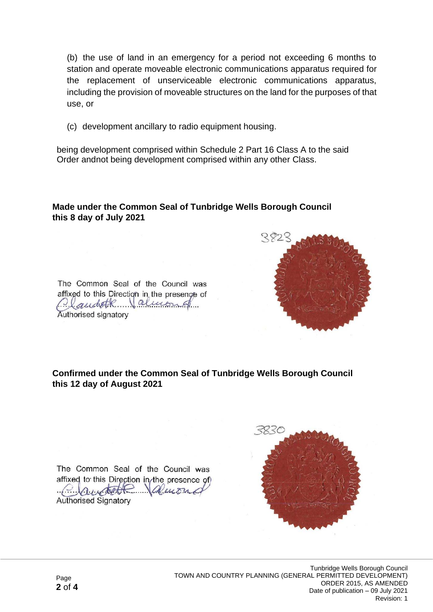(b) the use of land in an emergency for a period not exceeding 6 months to station and operate moveable electronic communications apparatus required for the replacement of unserviceable electronic communications apparatus, including the provision of moveable structures on the land for the purposes of that use, or

(c) development ancillary to radio equipment housing.

being development comprised within Schedule 2 Part 16 Class A to the said Order andnot being development comprised within any other Class.

#### **Made under the Common Seal of Tunbridge Wells Borough Council this 8 day of July 2021**



The Common Seal of the Council was affixed to this Direction in the presence of Plaudetk almond Authorised signatory

#### **Confirmed under the Common Seal of Tunbridge Wells Borough Council this 12 day of August 2021**

The Common Seal of the Council was affixed to this Direction in the presence of  $\mathcal{A}$ **Authorised Signatory**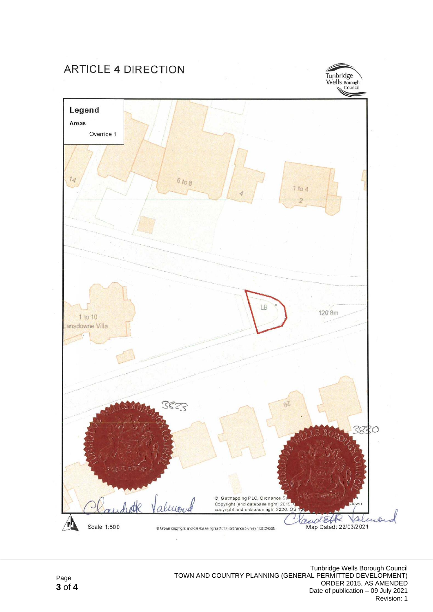## **ARTICLE 4 DIRECTION**